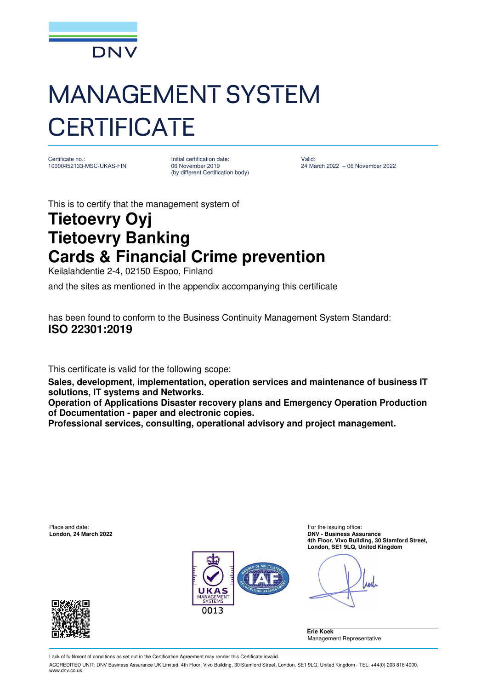

## MANAGEMENT SYSTEM **CERTIFICATE**

Certificate no.: 10000452133-MSC-UKAS-FIN Initial certification date: 06 November 2019 (by different Certification body)

Valid: 24 March 2022 – 06 November 2022

This is to certify that the management system of

## **Tietoevry Oyj Tietoevry Banking Cards & Financial Crime prevention**

Keilalahdentie 2-4, 02150 Espoo, Finland

and the sites as mentioned in the appendix accompanying this certificate

has been found to conform to the Business Continuity Management System Standard: **ISO 22301:2019**

This certificate is valid for the following scope:

**Sales, development, implementation, operation services and maintenance of business IT solutions, IT systems and Networks.** 

**Operation of Applications Disaster recovery plans and Emergency Operation Production of Documentation - paper and electronic copies.** 

**Professional services, consulting, operational advisory and project management.** 

Place and date: For the issuing office: **London, 24 March 2022 DNV - Business Assurance 4th Floor, Vivo Building, 30 Stamford Street, London, SE1 9LQ, United Kingdom** 



**ABRI** 

**Erie Koek**  Management Representative



Lack of fulfilment of conditions as set out in the Certification Agreement may render this Certificate invalid.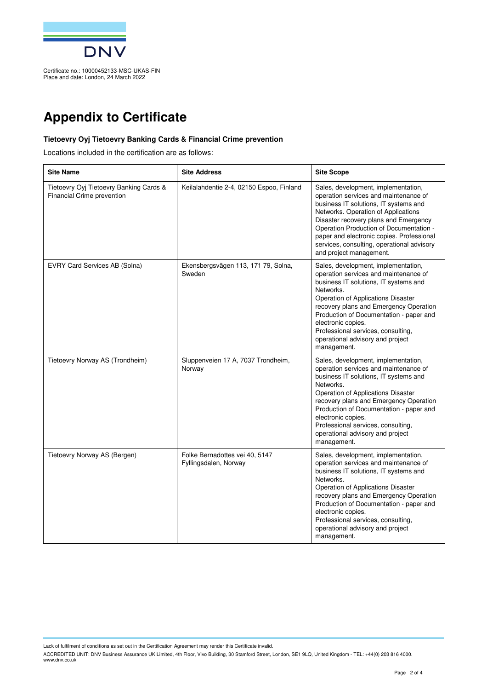

## **Appendix to Certificate**

## **Tietoevry Oyj Tietoevry Banking Cards & Financial Crime prevention**

Locations included in the certification are as follows:

| <b>Site Name</b>                                                      | <b>Site Address</b>                                     | <b>Site Scope</b>                                                                                                                                                                                                                                                                                                                                                            |
|-----------------------------------------------------------------------|---------------------------------------------------------|------------------------------------------------------------------------------------------------------------------------------------------------------------------------------------------------------------------------------------------------------------------------------------------------------------------------------------------------------------------------------|
| Tietoevry Oyj Tietoevry Banking Cards &<br>Financial Crime prevention | Keilalahdentie 2-4, 02150 Espoo, Finland                | Sales, development, implementation,<br>operation services and maintenance of<br>business IT solutions, IT systems and<br>Networks. Operation of Applications<br>Disaster recovery plans and Emergency<br>Operation Production of Documentation -<br>paper and electronic copies. Professional<br>services, consulting, operational advisory<br>and project management.       |
| EVRY Card Services AB (Solna)                                         | Ekensbergsvägen 113, 171 79, Solna,<br>Sweden           | Sales, development, implementation,<br>operation services and maintenance of<br>business IT solutions, IT systems and<br>Networks.<br>Operation of Applications Disaster<br>recovery plans and Emergency Operation<br>Production of Documentation - paper and<br>electronic copies.<br>Professional services, consulting,<br>operational advisory and project<br>management. |
| Tietoevry Norway AS (Trondheim)                                       | Sluppenveien 17 A, 7037 Trondheim,<br>Norway            | Sales, development, implementation,<br>operation services and maintenance of<br>business IT solutions, IT systems and<br>Networks.<br>Operation of Applications Disaster<br>recovery plans and Emergency Operation<br>Production of Documentation - paper and<br>electronic copies.<br>Professional services, consulting,<br>operational advisory and project<br>management. |
| Tietoevry Norway AS (Bergen)                                          | Folke Bernadottes vei 40, 5147<br>Fyllingsdalen, Norway | Sales, development, implementation,<br>operation services and maintenance of<br>business IT solutions, IT systems and<br>Networks.<br>Operation of Applications Disaster<br>recovery plans and Emergency Operation<br>Production of Documentation - paper and<br>electronic copies.<br>Professional services, consulting,<br>operational advisory and project<br>management. |

Lack of fulfilment of conditions as set out in the Certification Agreement may render this Certificate invalid.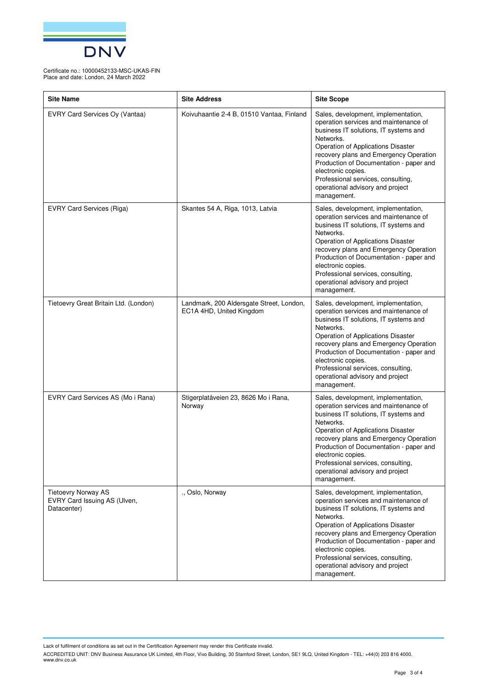

Certificate no.: 10000452133-MSC-UKAS-FIN Place and date: London, 24 March 2022

| <b>Site Name</b>                                                          | <b>Site Address</b>                                                  | <b>Site Scope</b>                                                                                                                                                                                                                                                                                                                                                            |
|---------------------------------------------------------------------------|----------------------------------------------------------------------|------------------------------------------------------------------------------------------------------------------------------------------------------------------------------------------------------------------------------------------------------------------------------------------------------------------------------------------------------------------------------|
| EVRY Card Services Oy (Vantaa)                                            | Koivuhaantie 2-4 B, 01510 Vantaa, Finland                            | Sales, development, implementation,<br>operation services and maintenance of<br>business IT solutions, IT systems and<br>Networks.<br>Operation of Applications Disaster<br>recovery plans and Emergency Operation<br>Production of Documentation - paper and<br>electronic copies.<br>Professional services, consulting,<br>operational advisory and project<br>management. |
| <b>EVRY Card Services (Riga)</b>                                          | Skantes 54 A, Riga, 1013, Latvia                                     | Sales, development, implementation,<br>operation services and maintenance of<br>business IT solutions, IT systems and<br>Networks.<br>Operation of Applications Disaster<br>recovery plans and Emergency Operation<br>Production of Documentation - paper and<br>electronic copies.<br>Professional services, consulting,<br>operational advisory and project<br>management. |
| Tietoevry Great Britain Ltd. (London)                                     | Landmark, 200 Aldersgate Street, London,<br>EC1A 4HD, United Kingdom | Sales, development, implementation,<br>operation services and maintenance of<br>business IT solutions, IT systems and<br>Networks.<br>Operation of Applications Disaster<br>recovery plans and Emergency Operation<br>Production of Documentation - paper and<br>electronic copies.<br>Professional services, consulting,<br>operational advisory and project<br>management. |
| EVRY Card Services AS (Mo i Rana)                                         | Stigerplatåveien 23, 8626 Mo i Rana,<br>Norway                       | Sales, development, implementation,<br>operation services and maintenance of<br>business IT solutions, IT systems and<br>Networks.<br>Operation of Applications Disaster<br>recovery plans and Emergency Operation<br>Production of Documentation - paper and<br>electronic copies.<br>Professional services, consulting,<br>operational advisory and project<br>management. |
| <b>Tietoevry Norway AS</b><br>EVRY Card Issuing AS (Ulven,<br>Datacenter) | ., Oslo, Norway                                                      | Sales, development, implementation,<br>operation services and maintenance of<br>business IT solutions, IT systems and<br>Networks.<br>Operation of Applications Disaster<br>recovery plans and Emergency Operation<br>Production of Documentation - paper and<br>electronic copies.<br>Professional services, consulting,<br>operational advisory and project<br>management. |

Lack of fulfilment of conditions as set out in the Certification Agreement may render this Certificate invalid.